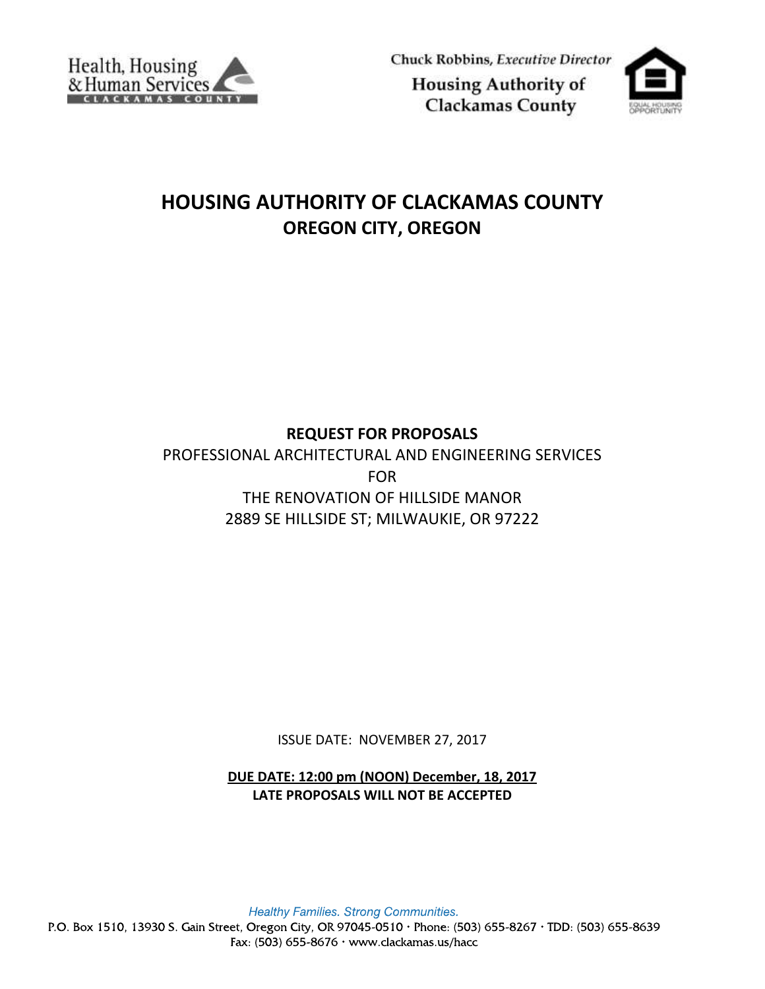

Chuck Robbins, Executive Director **Housing Authority of** 

**Clackamas County** 

# **HOUSING AUTHORITY OF CLACKAMAS COUNTY OREGON CITY, OREGON**

# **REQUEST FOR PROPOSALS**

PROFESSIONAL ARCHITECTURAL AND ENGINEERING SERVICES FOR THE RENOVATION OF HILLSIDE MANOR 2889 SE HILLSIDE ST; MILWAUKIE, OR 97222

ISSUE DATE: NOVEMBER 27, 2017

**DUE DATE: 12:00 pm (NOON) December, 18, 2017 LATE PROPOSALS WILL NOT BE ACCEPTED**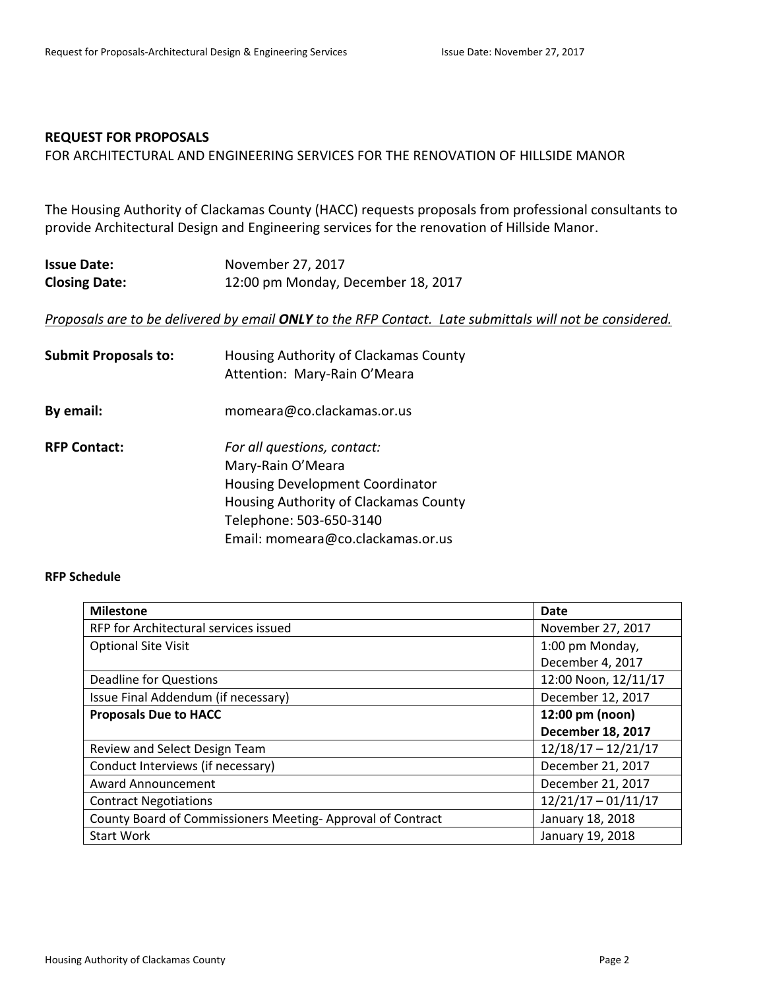# **REQUEST FOR PROPOSALS**

FOR ARCHITECTURAL AND ENGINEERING SERVICES FOR THE RENOVATION OF HILLSIDE MANOR

The Housing Authority of Clackamas County (HACC) requests proposals from professional consultants to provide Architectural Design and Engineering services for the renovation of Hillside Manor.

| <b>Issue Date:</b>   | November 27, 2017                  |
|----------------------|------------------------------------|
| <b>Closing Date:</b> | 12:00 pm Monday, December 18, 2017 |

#### *Proposals are to be delivered by email ONLY to the RFP Contact. Late submittals will not be considered.*

| <b>Submit Proposals to:</b> | Housing Authority of Clackamas County<br>Attention: Mary-Rain O'Meara |
|-----------------------------|-----------------------------------------------------------------------|
| By email:                   | momeara@co.clackamas.or.us                                            |
| <b>RFP Contact:</b>         | For all questions, contact:                                           |
|                             | Mary-Rain O'Meara                                                     |
|                             | Housing Development Coordinator                                       |
|                             | Housing Authority of Clackamas County                                 |
|                             | Telephone: 503-650-3140                                               |
|                             | Email: momeara@co.clackamas.or.us                                     |

#### **RFP Schedule**

| <b>Milestone</b>                                           | Date                     |
|------------------------------------------------------------|--------------------------|
| RFP for Architectural services issued                      | November 27, 2017        |
| <b>Optional Site Visit</b>                                 | 1:00 pm Monday,          |
|                                                            | December 4, 2017         |
| <b>Deadline for Questions</b>                              | 12:00 Noon, 12/11/17     |
| Issue Final Addendum (if necessary)                        | December 12, 2017        |
| <b>Proposals Due to HACC</b>                               | 12:00 pm (noon)          |
|                                                            | <b>December 18, 2017</b> |
| Review and Select Design Team                              | $12/18/17 - 12/21/17$    |
| Conduct Interviews (if necessary)                          | December 21, 2017        |
| <b>Award Announcement</b>                                  | December 21, 2017        |
| <b>Contract Negotiations</b>                               | $12/21/17 - 01/11/17$    |
| County Board of Commissioners Meeting-Approval of Contract | January 18, 2018         |
| <b>Start Work</b>                                          | January 19, 2018         |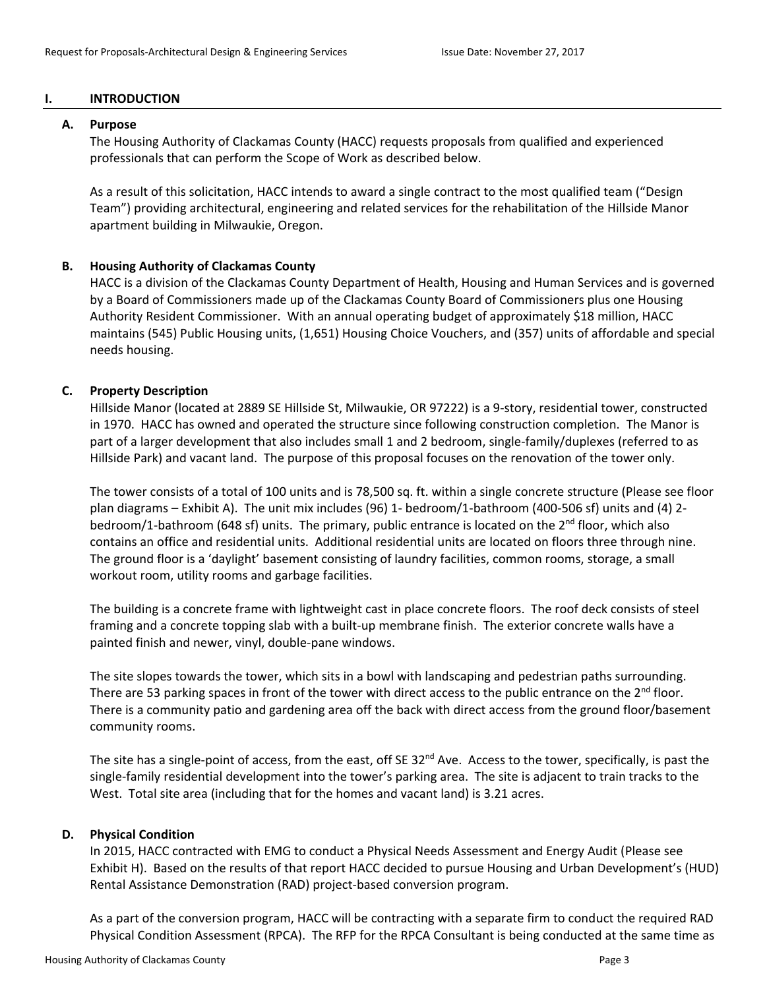# **I. INTRODUCTION**

#### **A. Purpose**

The Housing Authority of Clackamas County (HACC) requests proposals from qualified and experienced professionals that can perform the Scope of Work as described below.

As a result of this solicitation, HACC intends to award a single contract to the most qualified team ("Design Team") providing architectural, engineering and related services for the rehabilitation of the Hillside Manor apartment building in Milwaukie, Oregon.

# **B. Housing Authority of Clackamas County**

HACC is a division of the Clackamas County Department of Health, Housing and Human Services and is governed by a Board of Commissioners made up of the Clackamas County Board of Commissioners plus one Housing Authority Resident Commissioner. With an annual operating budget of approximately \$18 million, HACC maintains (545) Public Housing units, (1,651) Housing Choice Vouchers, and (357) units of affordable and special needs housing.

# **C. Property Description**

Hillside Manor (located at 2889 SE Hillside St, Milwaukie, OR 97222) is a 9-story, residential tower, constructed in 1970. HACC has owned and operated the structure since following construction completion. The Manor is part of a larger development that also includes small 1 and 2 bedroom, single-family/duplexes (referred to as Hillside Park) and vacant land. The purpose of this proposal focuses on the renovation of the tower only.

The tower consists of a total of 100 units and is 78,500 sq. ft. within a single concrete structure (Please see floor plan diagrams – Exhibit A). The unit mix includes (96) 1- bedroom/1-bathroom (400-506 sf) units and (4) 2 bedroom/1-bathroom (648 sf) units. The primary, public entrance is located on the  $2<sup>nd</sup>$  floor, which also contains an office and residential units. Additional residential units are located on floors three through nine. The ground floor is a 'daylight' basement consisting of laundry facilities, common rooms, storage, a small workout room, utility rooms and garbage facilities.

The building is a concrete frame with lightweight cast in place concrete floors. The roof deck consists of steel framing and a concrete topping slab with a built-up membrane finish. The exterior concrete walls have a painted finish and newer, vinyl, double-pane windows.

The site slopes towards the tower, which sits in a bowl with landscaping and pedestrian paths surrounding. There are 53 parking spaces in front of the tower with direct access to the public entrance on the 2<sup>nd</sup> floor. There is a community patio and gardening area off the back with direct access from the ground floor/basement community rooms.

The site has a single-point of access, from the east, off SE 32<sup>nd</sup> Ave. Access to the tower, specifically, is past the single-family residential development into the tower's parking area. The site is adjacent to train tracks to the West. Total site area (including that for the homes and vacant land) is 3.21 acres.

# **D. Physical Condition**

In 2015, HACC contracted with EMG to conduct a Physical Needs Assessment and Energy Audit (Please see Exhibit H). Based on the results of that report HACC decided to pursue Housing and Urban Development's (HUD) Rental Assistance Demonstration (RAD) project-based conversion program.

As a part of the conversion program, HACC will be contracting with a separate firm to conduct the required RAD Physical Condition Assessment (RPCA). The RFP for the RPCA Consultant is being conducted at the same time as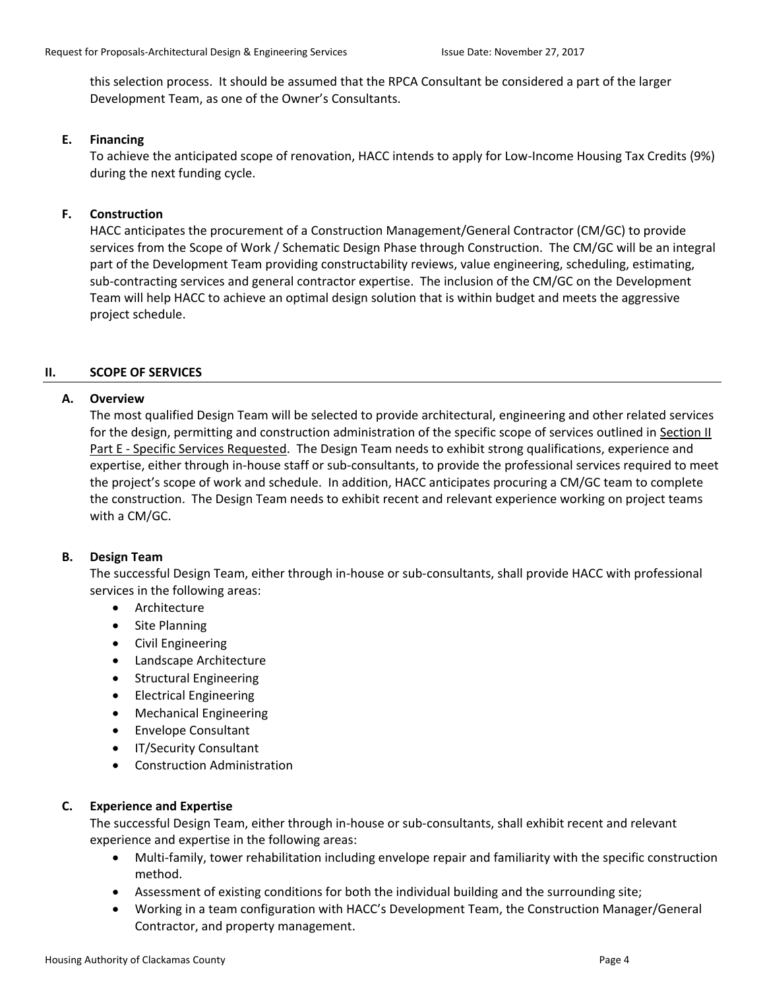this selection process. It should be assumed that the RPCA Consultant be considered a part of the larger Development Team, as one of the Owner's Consultants.

# **E. Financing**

To achieve the anticipated scope of renovation, HACC intends to apply for Low-Income Housing Tax Credits (9%) during the next funding cycle.

# **F. Construction**

HACC anticipates the procurement of a Construction Management/General Contractor (CM/GC) to provide services from the Scope of Work / Schematic Design Phase through Construction. The CM/GC will be an integral part of the Development Team providing constructability reviews, value engineering, scheduling, estimating, sub-contracting services and general contractor expertise. The inclusion of the CM/GC on the Development Team will help HACC to achieve an optimal design solution that is within budget and meets the aggressive project schedule.

# **II. SCOPE OF SERVICES**

# **A. Overview**

The most qualified Design Team will be selected to provide architectural, engineering and other related services for the design, permitting and construction administration of the specific scope of services outlined in Section II Part E - Specific Services Requested. The Design Team needs to exhibit strong qualifications, experience and expertise, either through in-house staff or sub-consultants, to provide the professional services required to meet the project's scope of work and schedule. In addition, HACC anticipates procuring a CM/GC team to complete the construction. The Design Team needs to exhibit recent and relevant experience working on project teams with a CM/GC.

# **B. Design Team**

The successful Design Team, either through in-house or sub-consultants, shall provide HACC with professional services in the following areas:

- Architecture
- Site Planning
- Civil Engineering
- Landscape Architecture
- **•** Structural Engineering
- Electrical Engineering
- Mechanical Engineering
- Envelope Consultant
- IT/Security Consultant
- Construction Administration

# **C. Experience and Expertise**

The successful Design Team, either through in-house or sub-consultants, shall exhibit recent and relevant experience and expertise in the following areas:

- Multi-family, tower rehabilitation including envelope repair and familiarity with the specific construction method.
- Assessment of existing conditions for both the individual building and the surrounding site;
- Working in a team configuration with HACC's Development Team, the Construction Manager/General Contractor, and property management.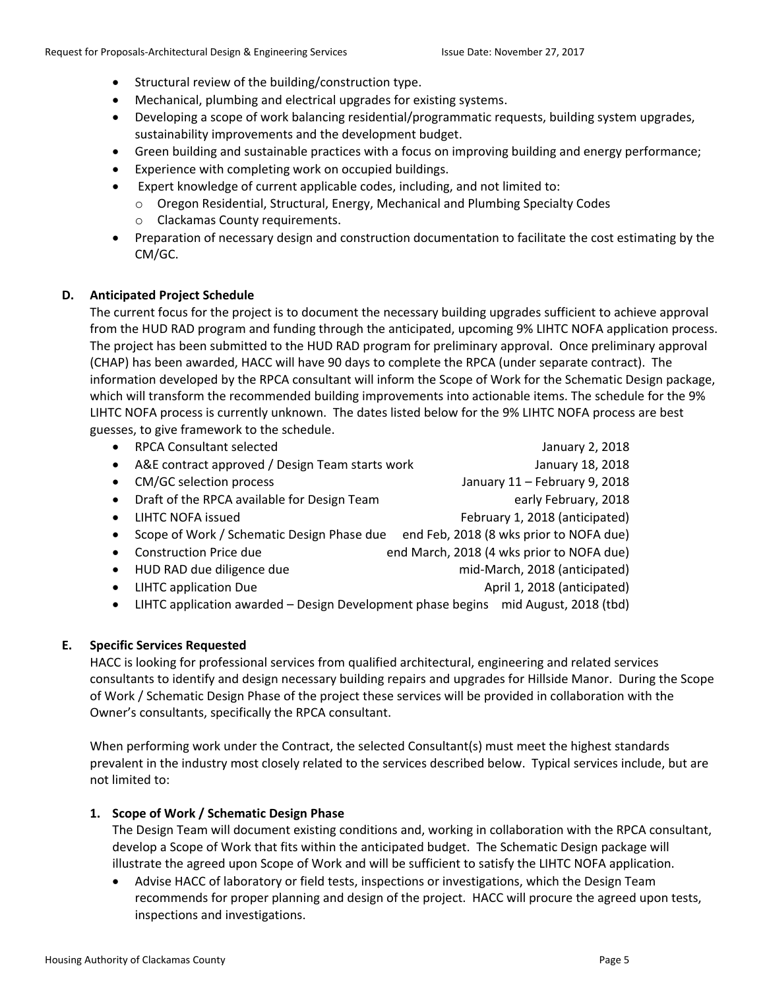- Structural review of the building/construction type.
- Mechanical, plumbing and electrical upgrades for existing systems.
- Developing a scope of work balancing residential/programmatic requests, building system upgrades, sustainability improvements and the development budget.
- Green building and sustainable practices with a focus on improving building and energy performance;
- Experience with completing work on occupied buildings.
- Expert knowledge of current applicable codes, including, and not limited to:
	- o Oregon Residential, Structural, Energy, Mechanical and Plumbing Specialty Codes
		- o Clackamas County requirements.
- Preparation of necessary design and construction documentation to facilitate the cost estimating by the CM/GC.

# **D. Anticipated Project Schedule**

The current focus for the project is to document the necessary building upgrades sufficient to achieve approval from the HUD RAD program and funding through the anticipated, upcoming 9% LIHTC NOFA application process. The project has been submitted to the HUD RAD program for preliminary approval. Once preliminary approval (CHAP) has been awarded, HACC will have 90 days to complete the RPCA (under separate contract). The information developed by the RPCA consultant will inform the Scope of Work for the Schematic Design package, which will transform the recommended building improvements into actionable items. The schedule for the 9% LIHTC NOFA process is currently unknown. The dates listed below for the 9% LIHTC NOFA process are best guesses, to give framework to the schedule.

 RPCA Consultant selected January 2, 2018 • A&E contract approved / Design Team starts work The Manuary 18, 2018 CM/GC selection process January 11 – February 9, 2018 • Draft of the RPCA available for Design Team early February, 2018 • LIHTC NOFA issued **February 1, 2018 (anticipated)** • Scope of Work / Schematic Design Phase due end Feb, 2018 (8 wks prior to NOFA due) Construction Price due end March, 2018 (4 wks prior to NOFA due) HUD RAD due diligence due mid-March, 2018 (anticipated) • LIHTC application Due **April 1, 2018 (anticipated)** April 1, 2018 (anticipated) LIHTC application awarded – Design Development phase begins mid August, 2018 (tbd)

# **E. Specific Services Requested**

HACC is looking for professional services from qualified architectural, engineering and related services consultants to identify and design necessary building repairs and upgrades for Hillside Manor. During the Scope of Work / Schematic Design Phase of the project these services will be provided in collaboration with the Owner's consultants, specifically the RPCA consultant.

When performing work under the Contract, the selected Consultant(s) must meet the highest standards prevalent in the industry most closely related to the services described below. Typical services include, but are not limited to:

# **1. Scope of Work / Schematic Design Phase**

The Design Team will document existing conditions and, working in collaboration with the RPCA consultant, develop a Scope of Work that fits within the anticipated budget. The Schematic Design package will illustrate the agreed upon Scope of Work and will be sufficient to satisfy the LIHTC NOFA application.

 Advise HACC of laboratory or field tests, inspections or investigations, which the Design Team recommends for proper planning and design of the project. HACC will procure the agreed upon tests, inspections and investigations.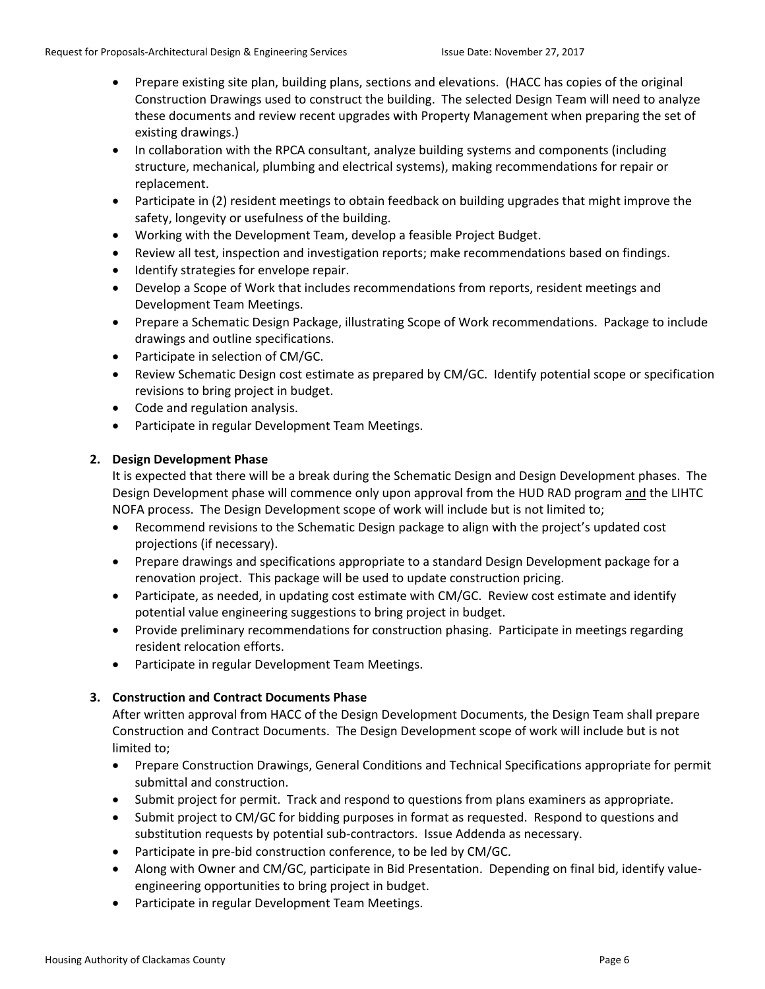- Prepare existing site plan, building plans, sections and elevations. (HACC has copies of the original Construction Drawings used to construct the building. The selected Design Team will need to analyze these documents and review recent upgrades with Property Management when preparing the set of existing drawings.)
- In collaboration with the RPCA consultant, analyze building systems and components (including structure, mechanical, plumbing and electrical systems), making recommendations for repair or replacement.
- Participate in (2) resident meetings to obtain feedback on building upgrades that might improve the safety, longevity or usefulness of the building.
- Working with the Development Team, develop a feasible Project Budget.
- Review all test, inspection and investigation reports; make recommendations based on findings.
- Identify strategies for envelope repair.
- Develop a Scope of Work that includes recommendations from reports, resident meetings and Development Team Meetings.
- Prepare a Schematic Design Package, illustrating Scope of Work recommendations. Package to include drawings and outline specifications.
- Participate in selection of CM/GC.
- Review Schematic Design cost estimate as prepared by CM/GC. Identify potential scope or specification revisions to bring project in budget.
- Code and regulation analysis.
- Participate in regular Development Team Meetings.

# **2. Design Development Phase**

It is expected that there will be a break during the Schematic Design and Design Development phases. The Design Development phase will commence only upon approval from the HUD RAD program and the LIHTC NOFA process. The Design Development scope of work will include but is not limited to;

- Recommend revisions to the Schematic Design package to align with the project's updated cost projections (if necessary).
- Prepare drawings and specifications appropriate to a standard Design Development package for a renovation project. This package will be used to update construction pricing.
- Participate, as needed, in updating cost estimate with CM/GC. Review cost estimate and identify potential value engineering suggestions to bring project in budget.
- Provide preliminary recommendations for construction phasing. Participate in meetings regarding resident relocation efforts.
- Participate in regular Development Team Meetings.

# **3. Construction and Contract Documents Phase**

After written approval from HACC of the Design Development Documents, the Design Team shall prepare Construction and Contract Documents. The Design Development scope of work will include but is not limited to;

- Prepare Construction Drawings, General Conditions and Technical Specifications appropriate for permit submittal and construction.
- Submit project for permit. Track and respond to questions from plans examiners as appropriate.
- Submit project to CM/GC for bidding purposes in format as requested. Respond to questions and substitution requests by potential sub-contractors. Issue Addenda as necessary.
- Participate in pre-bid construction conference, to be led by CM/GC.
- Along with Owner and CM/GC, participate in Bid Presentation. Depending on final bid, identify valueengineering opportunities to bring project in budget.
- Participate in regular Development Team Meetings.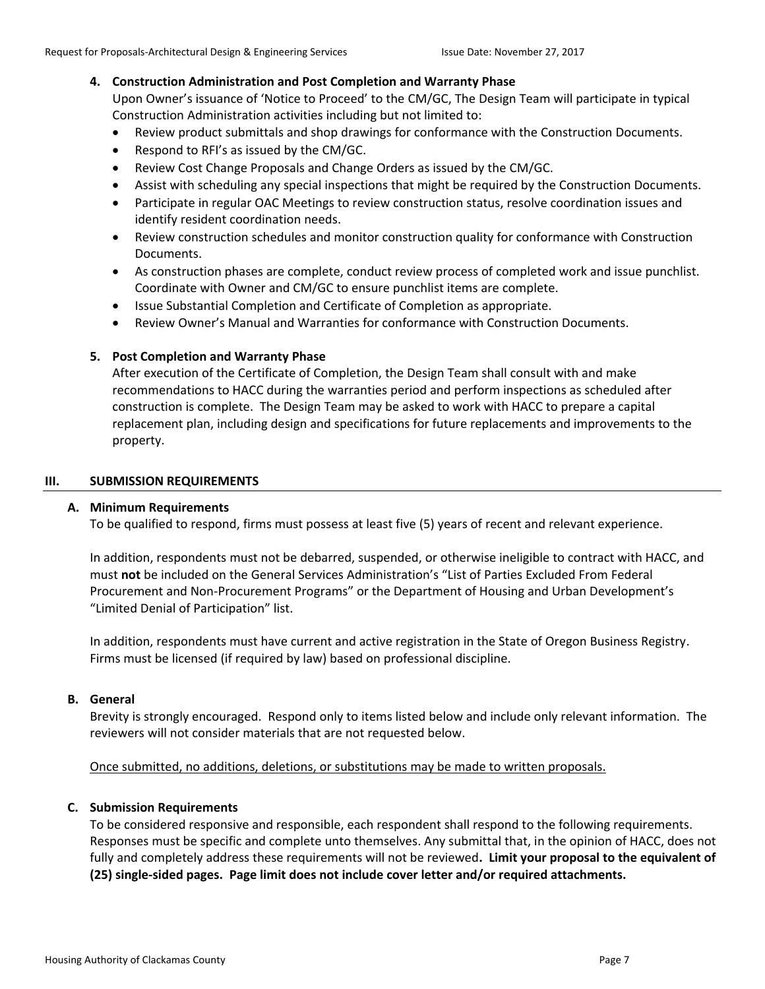# **4. Construction Administration and Post Completion and Warranty Phase**

Upon Owner's issuance of 'Notice to Proceed' to the CM/GC, The Design Team will participate in typical Construction Administration activities including but not limited to:

- Review product submittals and shop drawings for conformance with the Construction Documents.
- Respond to RFI's as issued by the CM/GC.
- Review Cost Change Proposals and Change Orders as issued by the CM/GC.
- Assist with scheduling any special inspections that might be required by the Construction Documents.
- Participate in regular OAC Meetings to review construction status, resolve coordination issues and identify resident coordination needs.
- Review construction schedules and monitor construction quality for conformance with Construction Documents.
- As construction phases are complete, conduct review process of completed work and issue punchlist. Coordinate with Owner and CM/GC to ensure punchlist items are complete.
- Issue Substantial Completion and Certificate of Completion as appropriate.
- Review Owner's Manual and Warranties for conformance with Construction Documents.

# **5. Post Completion and Warranty Phase**

After execution of the Certificate of Completion, the Design Team shall consult with and make recommendations to HACC during the warranties period and perform inspections as scheduled after construction is complete. The Design Team may be asked to work with HACC to prepare a capital replacement plan, including design and specifications for future replacements and improvements to the property.

#### **III. SUBMISSION REQUIREMENTS**

# **A. Minimum Requirements**

To be qualified to respond, firms must possess at least five (5) years of recent and relevant experience.

In addition, respondents must not be debarred, suspended, or otherwise ineligible to contract with HACC, and must **not** be included on the General Services Administration's "List of Parties Excluded From Federal Procurement and Non-Procurement Programs" or the Department of Housing and Urban Development's "Limited Denial of Participation" list.

In addition, respondents must have current and active registration in the State of Oregon Business Registry. Firms must be licensed (if required by law) based on professional discipline.

# **B. General**

Brevity is strongly encouraged. Respond only to items listed below and include only relevant information. The reviewers will not consider materials that are not requested below.

# Once submitted, no additions, deletions, or substitutions may be made to written proposals.

# **C. Submission Requirements**

To be considered responsive and responsible, each respondent shall respond to the following requirements. Responses must be specific and complete unto themselves. Any submittal that, in the opinion of HACC, does not fully and completely address these requirements will not be reviewed**. Limit your proposal to the equivalent of (25) single-sided pages. Page limit does not include cover letter and/or required attachments.**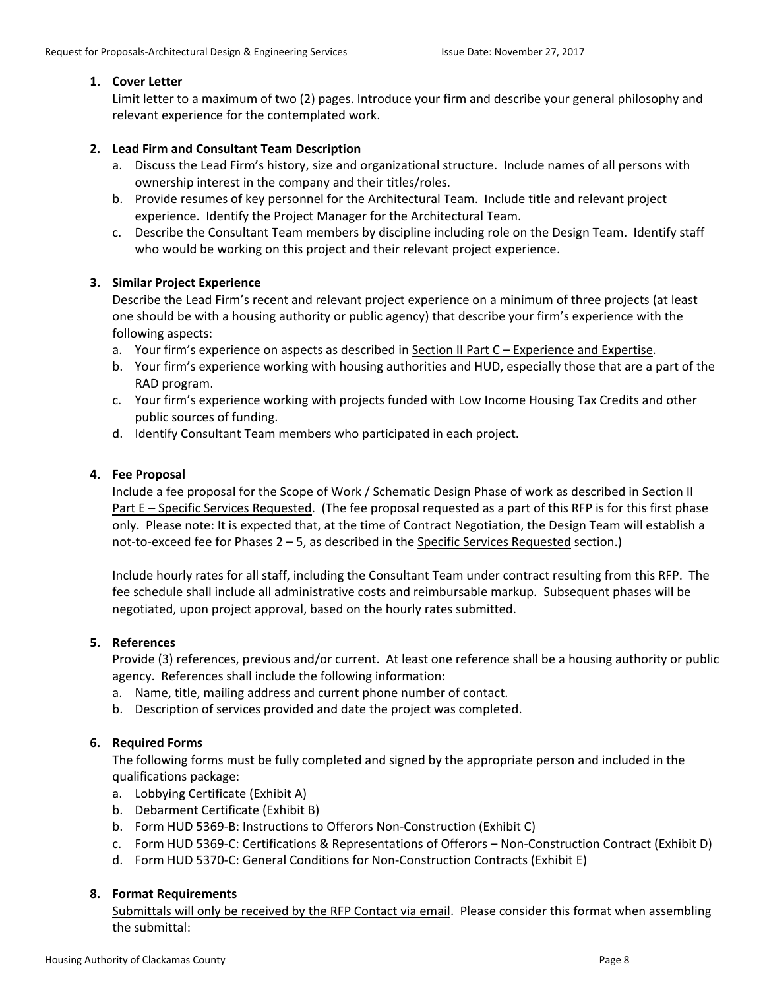# **1. Cover Letter**

Limit letter to a maximum of two (2) pages. Introduce your firm and describe your general philosophy and relevant experience for the contemplated work.

# **2. Lead Firm and Consultant Team Description**

- a. Discuss the Lead Firm's history, size and organizational structure. Include names of all persons with ownership interest in the company and their titles/roles.
- b. Provide resumes of key personnel for the Architectural Team. Include title and relevant project experience. Identify the Project Manager for the Architectural Team.
- c. Describe the Consultant Team members by discipline including role on the Design Team. Identify staff who would be working on this project and their relevant project experience.

# **3. Similar Project Experience**

Describe the Lead Firm's recent and relevant project experience on a minimum of three projects (at least one should be with a housing authority or public agency) that describe your firm's experience with the following aspects:

- a. Your firm's experience on aspects as described in Section II Part C Experience and Expertise*.*
- b. Your firm's experience working with housing authorities and HUD, especially those that are a part of the RAD program.
- c. Your firm's experience working with projects funded with Low Income Housing Tax Credits and other public sources of funding.
- d. Identify Consultant Team members who participated in each project.

# **4. Fee Proposal**

Include a fee proposal for the Scope of Work / Schematic Design Phase of work as described in Section II Part E – Specific Services Requested. (The fee proposal requested as a part of this RFP is for this first phase only. Please note: It is expected that, at the time of Contract Negotiation, the Design Team will establish a not-to-exceed fee for Phases 2 – 5, as described in the Specific Services Requested section.)

Include hourly rates for all staff, including the Consultant Team under contract resulting from this RFP. The fee schedule shall include all administrative costs and reimbursable markup. Subsequent phases will be negotiated, upon project approval, based on the hourly rates submitted.

# **5. References**

Provide (3) references, previous and/or current. At least one reference shall be a housing authority or public agency. References shall include the following information:

- a. Name, title, mailing address and current phone number of contact.
- b. Description of services provided and date the project was completed.

# **6. Required Forms**

The following forms must be fully completed and signed by the appropriate person and included in the qualifications package:

- a. Lobbying Certificate (Exhibit A)
- b. Debarment Certificate (Exhibit B)
- b. Form HUD 5369-B: Instructions to Offerors Non-Construction (Exhibit C)
- c. Form HUD 5369-C: Certifications & Representations of Offerors Non-Construction Contract (Exhibit D)
- d. Form HUD 5370-C: General Conditions for Non-Construction Contracts (Exhibit E)

# **8. Format Requirements**

Submittals will only be received by the RFP Contact via email. Please consider this format when assembling the submittal: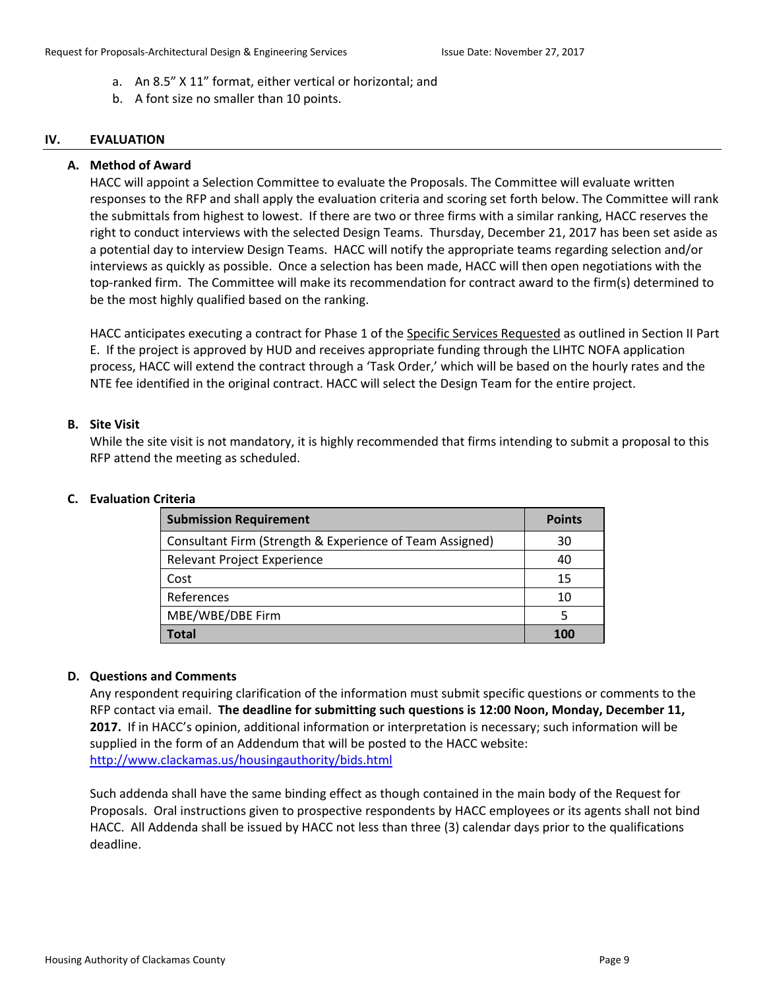- a. An 8.5" X 11" format, either vertical or horizontal; and
- b. A font size no smaller than 10 points.

#### **IV. EVALUATION**

#### **A. Method of Award**

HACC will appoint a Selection Committee to evaluate the Proposals. The Committee will evaluate written responses to the RFP and shall apply the evaluation criteria and scoring set forth below. The Committee will rank the submittals from highest to lowest. If there are two or three firms with a similar ranking, HACC reserves the right to conduct interviews with the selected Design Teams. Thursday, December 21, 2017 has been set aside as a potential day to interview Design Teams. HACC will notify the appropriate teams regarding selection and/or interviews as quickly as possible. Once a selection has been made, HACC will then open negotiations with the top-ranked firm. The Committee will make its recommendation for contract award to the firm(s) determined to be the most highly qualified based on the ranking.

HACC anticipates executing a contract for Phase 1 of the Specific Services Requested as outlined in Section II Part E. If the project is approved by HUD and receives appropriate funding through the LIHTC NOFA application process, HACC will extend the contract through a 'Task Order,' which will be based on the hourly rates and the NTE fee identified in the original contract. HACC will select the Design Team for the entire project.

#### **B. Site Visit**

While the site visit is not mandatory, it is highly recommended that firms intending to submit a proposal to this RFP attend the meeting as scheduled.

#### **C. Evaluation Criteria**

| <b>Submission Requirement</b>                            | <b>Points</b> |
|----------------------------------------------------------|---------------|
| Consultant Firm (Strength & Experience of Team Assigned) | 30            |
| Relevant Project Experience                              | 40            |
| Cost                                                     | 15            |
| References                                               | 10            |
| MBE/WBE/DBE Firm                                         | 5             |
| Total                                                    | 100           |

#### **D. Questions and Comments**

Any respondent requiring clarification of the information must submit specific questions or comments to the RFP contact via email. **The deadline for submitting such questions is 12:00 Noon, Monday, December 11, 2017.** If in HACC's opinion, additional information or interpretation is necessary; such information will be supplied in the form of an Addendum that will be posted to the HACC website: <http://www.clackamas.us/housingauthority/bids.html>

Such addenda shall have the same binding effect as though contained in the main body of the Request for Proposals. Oral instructions given to prospective respondents by HACC employees or its agents shall not bind HACC. All Addenda shall be issued by HACC not less than three (3) calendar days prior to the qualifications deadline.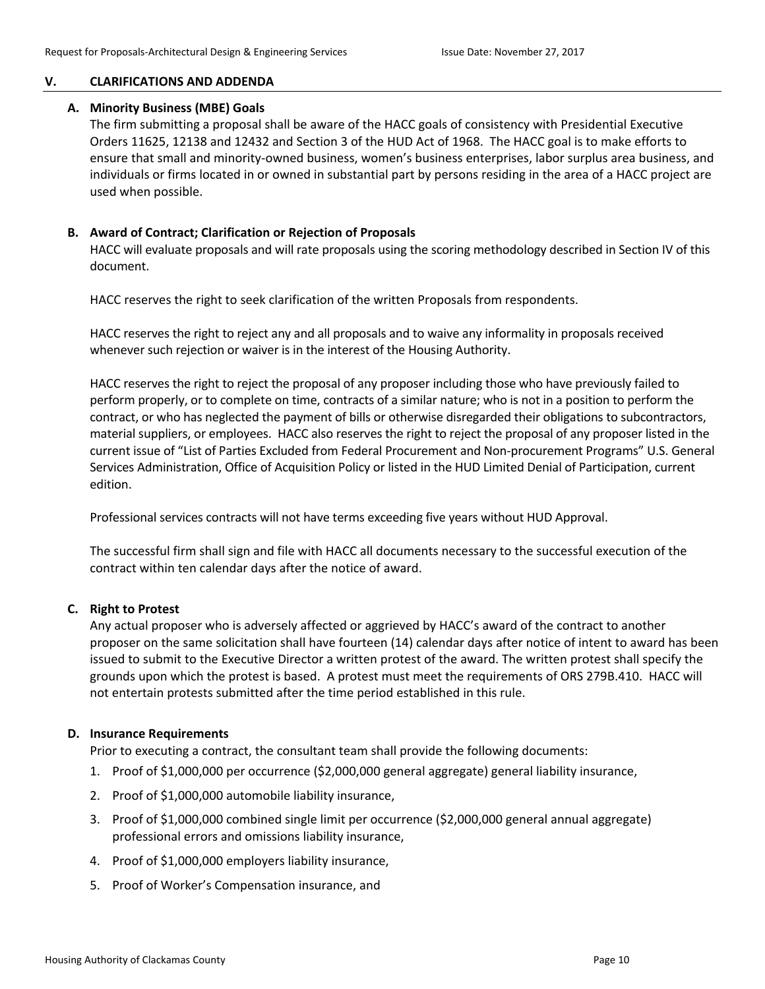#### **V. CLARIFICATIONS AND ADDENDA**

#### **A. Minority Business (MBE) Goals**

The firm submitting a proposal shall be aware of the HACC goals of consistency with Presidential Executive Orders 11625, 12138 and 12432 and Section 3 of the HUD Act of 1968. The HACC goal is to make efforts to ensure that small and minority-owned business, women's business enterprises, labor surplus area business, and individuals or firms located in or owned in substantial part by persons residing in the area of a HACC project are used when possible.

#### **B. Award of Contract; Clarification or Rejection of Proposals**

HACC will evaluate proposals and will rate proposals using the scoring methodology described in Section IV of this document.

HACC reserves the right to seek clarification of the written Proposals from respondents.

HACC reserves the right to reject any and all proposals and to waive any informality in proposals received whenever such rejection or waiver is in the interest of the Housing Authority.

HACC reserves the right to reject the proposal of any proposer including those who have previously failed to perform properly, or to complete on time, contracts of a similar nature; who is not in a position to perform the contract, or who has neglected the payment of bills or otherwise disregarded their obligations to subcontractors, material suppliers, or employees. HACC also reserves the right to reject the proposal of any proposer listed in the current issue of "List of Parties Excluded from Federal Procurement and Non-procurement Programs" U.S. General Services Administration, Office of Acquisition Policy or listed in the HUD Limited Denial of Participation, current edition.

Professional services contracts will not have terms exceeding five years without HUD Approval.

The successful firm shall sign and file with HACC all documents necessary to the successful execution of the contract within ten calendar days after the notice of award.

#### **C. Right to Protest**

Any actual proposer who is adversely affected or aggrieved by HACC's award of the contract to another proposer on the same solicitation shall have fourteen (14) calendar days after notice of intent to award has been issued to submit to the Executive Director a written protest of the award. The written protest shall specify the grounds upon which the protest is based. A protest must meet the requirements of ORS 279B.410. HACC will not entertain protests submitted after the time period established in this rule.

#### **D. Insurance Requirements**

Prior to executing a contract, the consultant team shall provide the following documents:

- 1. Proof of \$1,000,000 per occurrence (\$2,000,000 general aggregate) general liability insurance,
- 2. Proof of \$1,000,000 automobile liability insurance,
- 3. Proof of \$1,000,000 combined single limit per occurrence (\$2,000,000 general annual aggregate) professional errors and omissions liability insurance,
- 4. Proof of \$1,000,000 employers liability insurance,
- 5. Proof of Worker's Compensation insurance, and